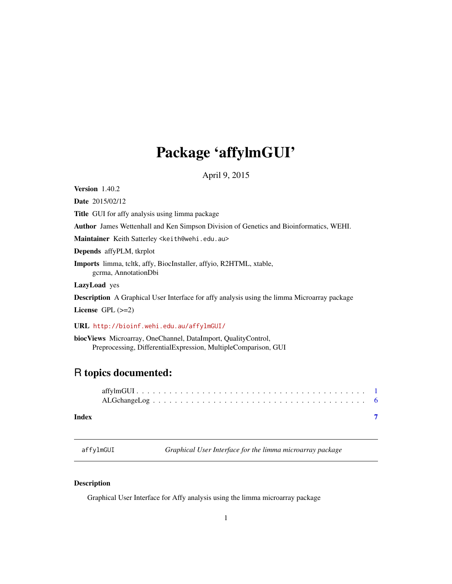## <span id="page-0-0"></span>Package 'affylmGUI'

April 9, 2015

Version 1.40.2

Date 2015/02/12

Title GUI for affy analysis using limma package

Author James Wettenhall and Ken Simpson Division of Genetics and Bioinformatics, WEHI.

Maintainer Keith Satterley <keith@wehi.edu.au>

Depends affyPLM, tkrplot

Imports limma, tcltk, affy, BiocInstaller, affyio, R2HTML, xtable, gcrma, AnnotationDbi

LazyLoad yes

Description A Graphical User Interface for affy analysis using the limma Microarray package

License GPL  $(>=2)$ 

URL <http://bioinf.wehi.edu.au/affylmGUI/>

biocViews Microarray, OneChannel, DataImport, QualityControl, Preprocessing, DifferentialExpression, MultipleComparison, GUI

### R topics documented:

#### **Index** [7](#page-6-0) **7**

affylmGUI *Graphical User Interface for the limma microarray package*

#### Description

Graphical User Interface for Affy analysis using the limma microarray package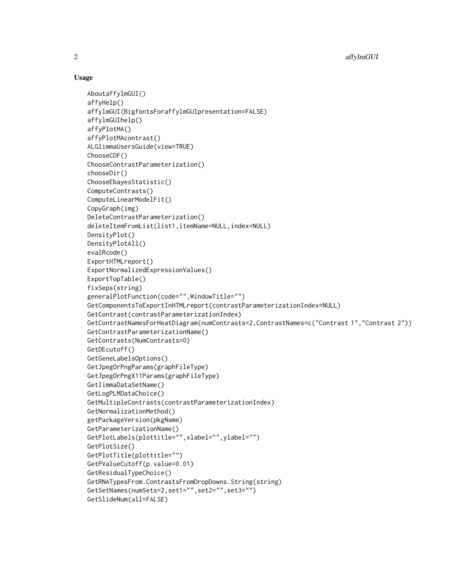#### Usage

```
AboutaffylmGUI()
affyHelp()
affylmGUI(BigfontsForaffylmGUIpresentation=FALSE)
affylmGUIhelp()
affyPlotMA()
affyPlotMAcontrast()
ALGlimmaUsersGuide(view=TRUE)
ChooseCDF()
ChooseContrastParameterization()
chooseDir()
ChooseEbayesStatistic()
ComputeContrasts()
ComputeLinearModelFit()
CopyGraph(img)
DeleteContrastParameterization()
deleteItemFromList(list1,itemName=NULL,index=NULL)
DensityPlot()
DensityPlotAll()
evalRcode()
ExportHTMLreport()
ExportNormalizedExpressionValues()
ExportTopTable()
fixSeps(string)
generalPlotFunction(code="",WindowTitle="")
GetComponentsToExportInHTMLreport(contrastParameterizationIndex=NULL)
GetContrast(contrastParameterizationIndex)
GetContrastNamesForHeatDiagram(numContrasts=2,ContrastNames=c("Contrast 1","Contrast 2"))
GetContrastParameterizationName()
GetContrasts(NumContrasts=0)
GetDEcutoff()
GetGeneLabelsOptions()
GetJpegOrPngParams(graphFileType)
GetJpegOrPngX11Params(graphFileType)
GetlimmaDataSetName()
GetLogPLMDataChoice()
GetMultipleContrasts(contrastParameterizationIndex)
GetNormalizationMethod()
getPackageVersion(pkgName)
GetParameterizationName()
GetPlotLabels(plottitle="",xlabel="",ylabel="")
GetPlotSize()
GetPlotTitle(plottitle="")
GetPValueCutoff(p.value=0.01)
GetResidualTypeChoice()
GetRNATypesFrom.ContrastsFromDropDowns.String(string)
GetSetNames(numSets=2,set1="",set2="",set3="")
GetSlideNum(all=FALSE)
```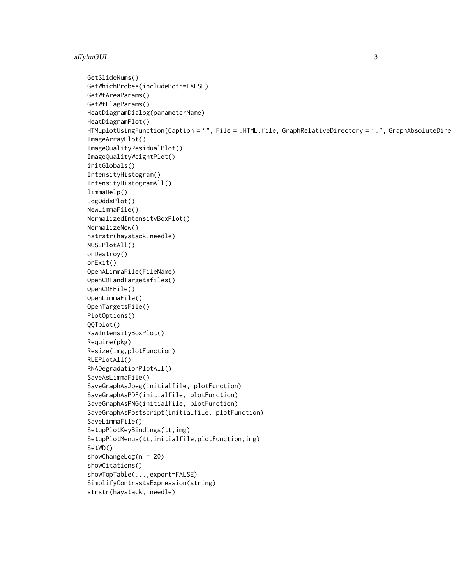#### affylmGUI 3

```
GetSlideNums()
GetWhichProbes(includeBoth=FALSE)
GetWtAreaParams()
GetWtFlagParams()
HeatDiagramDialog(parameterName)
HeatDiagramPlot()
HTMLplotUsingFunction(Caption = "", File = .HTML.file, GraphRelativeDirectory = ".", GraphAbsoluteDire
ImageArrayPlot()
ImageQualityResidualPlot()
ImageQualityWeightPlot()
initGlobals()
IntensityHistogram()
IntensityHistogramAll()
limmaHelp()
LogOddsPlot()
NewLimmaFile()
NormalizedIntensityBoxPlot()
NormalizeNow()
nstrstr(haystack,needle)
NUSEPlotAll()
onDestroy()
onExit()
OpenALimmaFile(FileName)
OpenCDFandTargetsfiles()
OpenCDFFile()
OpenLimmaFile()
OpenTargetsFile()
PlotOptions()
QQTplot()
RawIntensityBoxPlot()
Require(pkg)
Resize(img,plotFunction)
RLEPlotAll()
RNADegradationPlotAll()
SaveAsLimmaFile()
SaveGraphAsJpeg(initialfile, plotFunction)
SaveGraphAsPDF(initialfile, plotFunction)
SaveGraphAsPNG(initialfile, plotFunction)
SaveGraphAsPostscript(initialfile, plotFunction)
SaveLimmaFile()
SetupPlotKeyBindings(tt,img)
SetupPlotMenus(tt,initialfile,plotFunction,img)
SetWD()
showChangeLog(n = 20)
showCitations()
showTopTable(...,export=FALSE)
SimplifyContrastsExpression(string)
strstr(haystack, needle)
```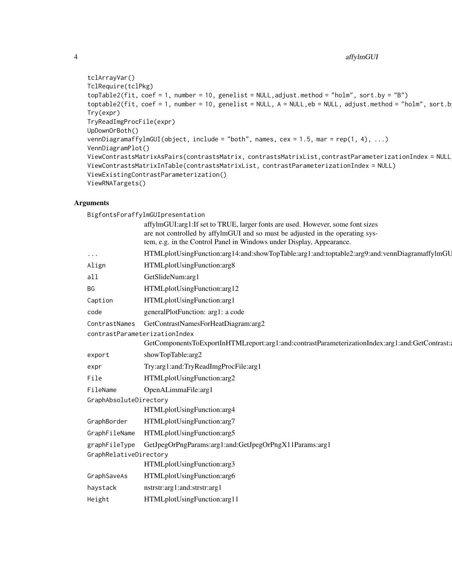```
tclArrayVar()
TclRequire(tclPkg)
topTable2(fit, \text{coef} = 1, number = 10, genelist = NULL, adjust.method = "holm", sort.by = "B")
toptable2(fit, coef = 1, number = 10, genelist = NULL, A = NULL, eb = NULL, adjust.method = "holm", sort.b
Try(expr)
TryReadImgProcFile(expr)
UpDownOrBoth()
vennDiagramaffylmGUI(object, include = "both", names, cex = 1.5, mar = rep(1, 4), ...)
VennDiagramPlot()
ViewContrastsMatrixAsPairs(contrastsMatrix, contrastsMatrixList,contrastParameterizationIndex = NULL)
ViewContrastsMatrixInTable(contrastsMatrixList, contrastParameterizationIndex = NULL)
ViewExistingContrastParameterization()
ViewRNATargets()
```
#### Arguments

BigfontsForaffylmGUIpresentation affylmGUI:arg1:If set to TRUE, larger fonts are used. However, some font sizes are not controlled by affylmGUI and so must be adjusted in the operating system, e.g. in the Control Panel in Windows under Display, Appearance. ... HTMLplotUsingFunction:arg14:and:showTopTable:arg1:and:toptable2:arg9:and:vennDiagramaffylmGU Align HTMLplotUsingFunction:arg8 all GetSlideNum:arg1 BG HTMLplotUsingFunction:arg12 Caption HTMLplotUsingFunction:arg1 code generalPlotFunction: arg1: a code ContrastNames GetContrastNamesForHeatDiagram:arg2 contrastParameterizationIndex GetComponentsToExportInHTMLreport:arg1:and:contrastParameterizationIndex:arg1:and:GetContrast: export showTopTable:arg2 expr Try:arg1:and:TryReadImgProcFile:arg1 File HTMLplotUsingFunction:arg2 FileName OpenALimmaFile:arg1 GraphAbsoluteDirectory HTMLplotUsingFunction:arg4 GraphBorder HTMLplotUsingFunction:arg7 GraphFileName HTMLplotUsingFunction:arg5 graphFileType GetJpegOrPngParams:arg1:and:GetJpegOrPngX11Params:arg1 GraphRelativeDirectory HTMLplotUsingFunction:arg3 GraphSaveAs HTMLplotUsingFunction:arg6 haystack nstrstr:arg1:and:strstr:arg1 Height HTMLplotUsingFunction:arg11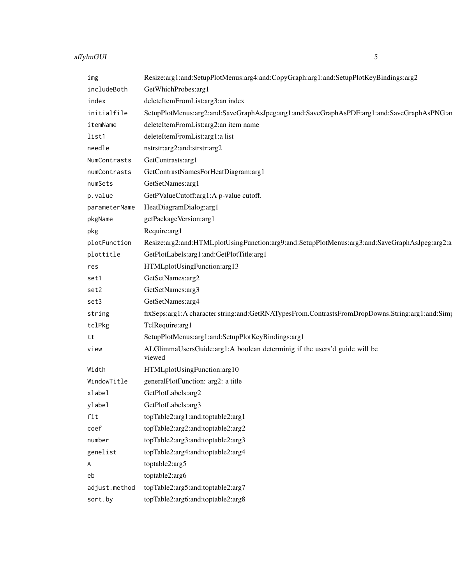## affylmGUI 5

| img           | Resize:arg1:and:SetupPlotMenus:arg4:and:CopyGraph:arg1:and:SetupPlotKeyBindings:arg2            |
|---------------|-------------------------------------------------------------------------------------------------|
| includeBoth   | GetWhichProbes:arg1                                                                             |
| index         | deleteItemFromList:arg3:an index                                                                |
| initialfile   | SetupPlotMenus:arg2:and:SaveGraphAsJpeg:arg1:and:SaveGraphAsPDF:arg1:and:SaveGraphAsPNG:ar      |
| itemName      | deleteItemFromList:arg2:an item name                                                            |
| list1         | deleteItemFromList:arg1:a list                                                                  |
| needle        | nstrstr:arg2:and:strstr:arg2                                                                    |
| NumContrasts  | GetContrasts:arg1                                                                               |
| numContrasts  | GetContrastNamesForHeatDiagram:arg1                                                             |
| numSets       | GetSetNames:arg1                                                                                |
| p.value       | GetPValueCutoff:arg1:A p-value cutoff.                                                          |
| parameterName | HeatDiagramDialog:arg1                                                                          |
| pkgName       | getPackageVersion:arg1                                                                          |
| pkg           | Require: arg1                                                                                   |
| plotFunction  | Resize:arg2:and:HTMLplotUsingFunction:arg9:and:SetupPlotMenus:arg3:and:SaveGraphAsJpeg:arg2:a   |
| plottitle     | GetPlotLabels:arg1:and:GetPlotTitle:arg1                                                        |
| res           | HTMLplotUsingFunction:arg13                                                                     |
| set1          | GetSetNames:arg2                                                                                |
| set2          | GetSetNames:arg3                                                                                |
| set3          | GetSetNames:arg4                                                                                |
| string        | fixSeps:arg1:A character string:and:GetRNATypesFrom.ContrastsFromDropDowns.String:arg1:and:Simp |
| tclPkg        | TclRequire:arg1                                                                                 |
| tt            | SetupPlotMenus:arg1:and:SetupPlotKeyBindings:arg1                                               |
| view          | ALGlimmaUsersGuide:arg1:A boolean determinig if the users'd guide will be<br>viewed             |
| Width         | HTMLplotUsingFunction:arg10                                                                     |
| WindowTitle   | generalPlotFunction: arg2: a title                                                              |
| xlabel        | GetPlotLabels:arg2                                                                              |
| ylabel        | GetPlotLabels:arg3                                                                              |
| fit           | topTable2:arg1:and:toptable2:arg1                                                               |
| coef          | topTable2:arg2:and:toptable2:arg2                                                               |
| number        | topTable2:arg3:and:toptable2:arg3                                                               |
| genelist      | topTable2:arg4:and:toptable2:arg4                                                               |
| A             | toptable2:arg5                                                                                  |
| eb            | toptable2:arg6                                                                                  |
| adjust.method | topTable2:arg5:and:toptable2:arg7                                                               |
| sort.by       | topTable2:arg6:and:toptable2:arg8                                                               |
|               |                                                                                                 |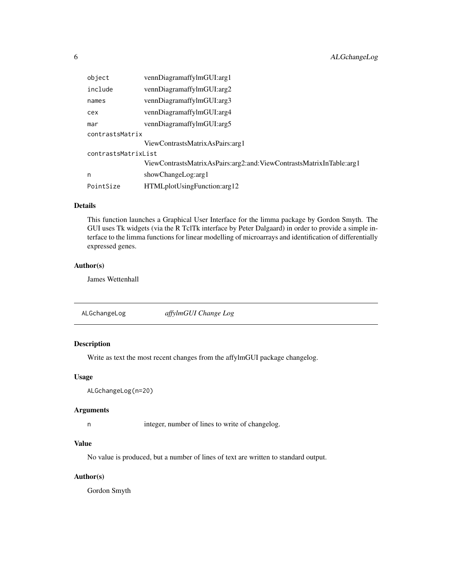<span id="page-5-0"></span>

| object              | vennDiagramaffylmGUI:arg1                                           |  |  |  |  |  |  |
|---------------------|---------------------------------------------------------------------|--|--|--|--|--|--|
| include             | vennDiagramaffylmGUI:arg2                                           |  |  |  |  |  |  |
| names               | vennDiagramaffylmGUI:arg3                                           |  |  |  |  |  |  |
| cex                 | vennDiagramaffylmGUI:arg4                                           |  |  |  |  |  |  |
| mar                 | vennDiagramaffylmGUI:arg5                                           |  |  |  |  |  |  |
| contrastsMatrix     |                                                                     |  |  |  |  |  |  |
|                     | ViewContrastsMatrixAsPairs: arg1                                    |  |  |  |  |  |  |
| contrastsMatrixList |                                                                     |  |  |  |  |  |  |
|                     | ViewContrastsMatrixAsPairs:arg2:and:ViewContrastsMatrixInTable:arg1 |  |  |  |  |  |  |
| n                   | showChangeLog:arg1                                                  |  |  |  |  |  |  |
| PointSize           | HTMLplotUsingFunction:arg12                                         |  |  |  |  |  |  |

#### Details

This function launches a Graphical User Interface for the limma package by Gordon Smyth. The GUI uses Tk widgets (via the R TclTk interface by Peter Dalgaard) in order to provide a simple interface to the limma functions for linear modelling of microarrays and identification of differentially expressed genes.

#### Author(s)

James Wettenhall

ALGchangeLog *affylmGUI Change Log*

#### Description

Write as text the most recent changes from the affylmGUI package changelog.

#### Usage

```
ALGchangeLog(n=20)
```
#### Arguments

n integer, number of lines to write of changelog.

#### Value

No value is produced, but a number of lines of text are written to standard output.

#### Author(s)

Gordon Smyth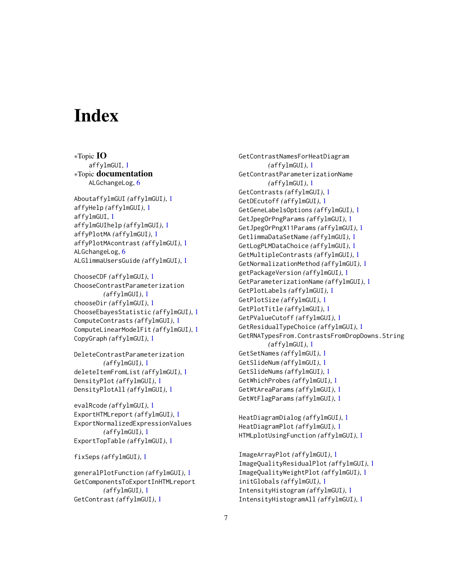# <span id="page-6-0"></span>**Index**

∗Topic IO affylmGUI, [1](#page-0-0) ∗Topic documentation ALGchangeLog, [6](#page-5-0) AboutaffylmGUI *(*affylmGUI*)*, [1](#page-0-0) affyHelp *(*affylmGUI*)*, [1](#page-0-0) affylmGUI, [1](#page-0-0) affylmGUIhelp *(*affylmGUI*)*, [1](#page-0-0) affyPlotMA *(*affylmGUI*)*, [1](#page-0-0) affyPlotMAcontrast *(*affylmGUI*)*, [1](#page-0-0) ALGchangeLog, [6](#page-5-0) ALGlimmaUsersGuide *(*affylmGUI*)*, [1](#page-0-0)

ChooseCDF *(*affylmGUI*)*, [1](#page-0-0) ChooseContrastParameterization *(*affylmGUI*)*, [1](#page-0-0) chooseDir *(*affylmGUI*)*, [1](#page-0-0) ChooseEbayesStatistic *(*affylmGUI*)*, [1](#page-0-0) ComputeContrasts *(*affylmGUI*)*, [1](#page-0-0) ComputeLinearModelFit *(*affylmGUI*)*, [1](#page-0-0) CopyGraph *(*affylmGUI*)*, [1](#page-0-0)

DeleteContrastParameterization *(*affylmGUI*)*, [1](#page-0-0) deleteItemFromList *(*affylmGUI*)*, [1](#page-0-0) DensityPlot *(*affylmGUI*)*, [1](#page-0-0) DensityPlotAll *(*affylmGUI*)*, [1](#page-0-0)

evalRcode *(*affylmGUI*)*, [1](#page-0-0) ExportHTMLreport *(*affylmGUI*)*, [1](#page-0-0) ExportNormalizedExpressionValues *(*affylmGUI*)*, [1](#page-0-0) ExportTopTable *(*affylmGUI*)*, [1](#page-0-0)

fixSeps *(*affylmGUI*)*, [1](#page-0-0)

generalPlotFunction *(*affylmGUI*)*, [1](#page-0-0) GetComponentsToExportInHTMLreport *(*affylmGUI*)*, [1](#page-0-0) GetContrast *(*affylmGUI*)*, [1](#page-0-0)

GetContrastNamesForHeatDiagram *(*affylmGUI*)*, [1](#page-0-0) GetContrastParameterizationName *(*affylmGUI*)*, [1](#page-0-0) GetContrasts *(*affylmGUI*)*, [1](#page-0-0) GetDEcutoff *(*affylmGUI*)*, [1](#page-0-0) GetGeneLabelsOptions *(*affylmGUI*)*, [1](#page-0-0) GetJpegOrPngParams *(*affylmGUI*)*, [1](#page-0-0) GetJpegOrPngX11Params *(*affylmGUI*)*, [1](#page-0-0) GetlimmaDataSetName *(*affylmGUI*)*, [1](#page-0-0) GetLogPLMDataChoice *(*affylmGUI*)*, [1](#page-0-0) GetMultipleContrasts *(*affylmGUI*)*, [1](#page-0-0) GetNormalizationMethod *(*affylmGUI*)*, [1](#page-0-0) getPackageVersion *(*affylmGUI*)*, [1](#page-0-0) GetParameterizationName *(*affylmGUI*)*, [1](#page-0-0) GetPlotLabels *(*affylmGUI*)*, [1](#page-0-0) GetPlotSize *(*affylmGUI*)*, [1](#page-0-0) GetPlotTitle *(*affylmGUI*)*, [1](#page-0-0) GetPValueCutoff *(*affylmGUI*)*, [1](#page-0-0) GetResidualTypeChoice *(*affylmGUI*)*, [1](#page-0-0) GetRNATypesFrom.ContrastsFromDropDowns.String *(*affylmGUI*)*, [1](#page-0-0) GetSetNames *(*affylmGUI*)*, [1](#page-0-0) GetSlideNum *(*affylmGUI*)*, [1](#page-0-0) GetSlideNums *(*affylmGUI*)*, [1](#page-0-0) GetWhichProbes *(*affylmGUI*)*, [1](#page-0-0) GetWtAreaParams *(*affylmGUI*)*, [1](#page-0-0) GetWtFlagParams *(*affylmGUI*)*, [1](#page-0-0)

HeatDiagramDialog *(*affylmGUI*)*, [1](#page-0-0) HeatDiagramPlot *(*affylmGUI*)*, [1](#page-0-0) HTMLplotUsingFunction *(*affylmGUI*)*, [1](#page-0-0)

ImageArrayPlot *(*affylmGUI*)*, [1](#page-0-0) ImageQualityResidualPlot *(*affylmGUI*)*, [1](#page-0-0) ImageQualityWeightPlot *(*affylmGUI*)*, [1](#page-0-0) initGlobals *(*affylmGUI*)*, [1](#page-0-0) IntensityHistogram *(*affylmGUI*)*, [1](#page-0-0) IntensityHistogramAll *(*affylmGUI*)*, [1](#page-0-0)